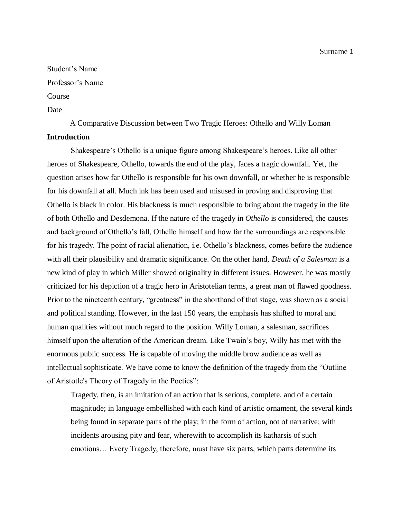Surname 1

Student's Name Professor's Name Course

Date

A Comparative Discussion between Two Tragic Heroes: Othello and Willy Loman **Introduction**

Shakespeare's Othello is a unique figure among Shakespeare's heroes. Like all other heroes of Shakespeare, Othello, towards the end of the play, faces a tragic downfall. Yet, the question arises how far Othello is responsible for his own downfall, or whether he is responsible for his downfall at all. Much ink has been used and misused in proving and disproving that Othello is black in color. His blackness is much responsible to bring about the tragedy in the life of both Othello and Desdemona. If the nature of the tragedy in *Othello* is considered, the causes and background of Othello's fall, Othello himself and how far the surroundings are responsible for his tragedy. The point of racial alienation, i.e. Othello's blackness, comes before the audience with all their plausibility and dramatic significance. On the other hand, *Death of a Salesman* is a new kind of play in which Miller showed originality in different issues. However, he was mostly criticized for his depiction of a tragic hero in Aristotelian terms, a great man of flawed goodness. Prior to the nineteenth century, "greatness" in the shorthand of that stage, was shown as a social and political standing. However, in the last 150 years, the emphasis has shifted to moral and human qualities without much regard to the position. Willy Loman, a salesman, sacrifices himself upon the alteration of the American dream. Like Twain's boy, Willy has met with the enormous public success. He is capable of moving the middle brow audience as well as intellectual sophisticate. We have come to know the definition of the tragedy from the "Outline of Aristotle's Theory of Tragedy in the Poetics":

Tragedy, then, is an imitation of an action that is serious, complete, and of a certain magnitude; in language embellished with each kind of artistic ornament, the several kinds being found in separate parts of the play; in the form of action, not of narrative; with incidents arousing pity and fear, wherewith to accomplish its katharsis of such emotions… Every Tragedy, therefore, must have six parts, which parts determine its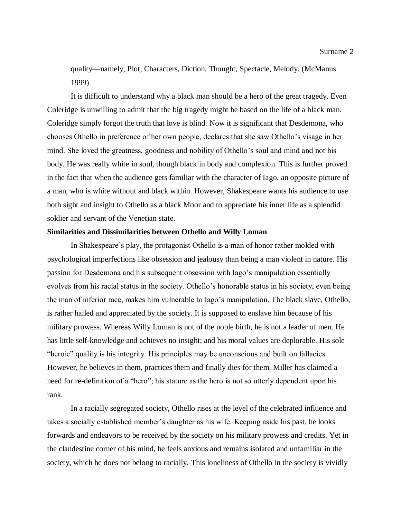quality—namely, Plot, Characters, Diction, Thought, Spectacle, Melody. (McManus 1999)

It is difficult to understand why a black man should be a hero of the great tragedy. Even Coleridge is unwilling to admit that the big tragedy might be based on the life of a black man. Coleridge simply forgot the truth that love is blind. Now it is significant that Desdemona, who chooses Othello in preference of her own people, declares that she saw Othello's visage in her mind. She loved the greatness, goodness and nobility of Othello's soul and mind and not his body. He was really white in soul, though black in body and complexion. This is further proved in the fact that when the audience gets familiar with the character of Iago, an opposite picture of a man, who is white without and black within. However, Shakespeare wants his audience to use both sight and insight to Othello as a black Moor and to appreciate his inner life as a splendid soldier and servant of the Venetian state.

## **Similarities and Dissimilarities between Othello and Willy Loman**

In Shakespeare's play, the protagonist Othello is a man of honor rather molded with psychological imperfections like obsession and jealousy than being a man violent in nature. His passion for Desdemona and his subsequent obsession with Iago's manipulation essentially evolves from his racial status in the society. Othello's honorable status in his society, even being the man of inferior race, makes him vulnerable to Iago's manipulation. The black slave, Othello, is rather hailed and appreciated by the society. It is supposed to enslave him because of his military prowess. Whereas Willy Loman is not of the noble birth, he is not a leader of men. He has little self-knowledge and achieves no insight; and his moral values are deplorable. His sole "heroic" quality is his integrity. His principles may be unconscious and built on fallacies. However, he believes in them, practices them and finally dies for them. Miller has claimed a need for re-definition of a "hero"; his stature as the hero is not so utterly dependent upon his rank.

In a racially segregated society, Othello rises at the level of the celebrated influence and takes a socially established member's daughter as his wife. Keeping aside his past, he looks forwards and endeavors to be received by the society on his military prowess and credits. Yet in the clandestine corner of his mind, he feels anxious and remains isolated and unfamiliar in the society, which he does not belong to racially. This loneliness of Othello in the society is vividly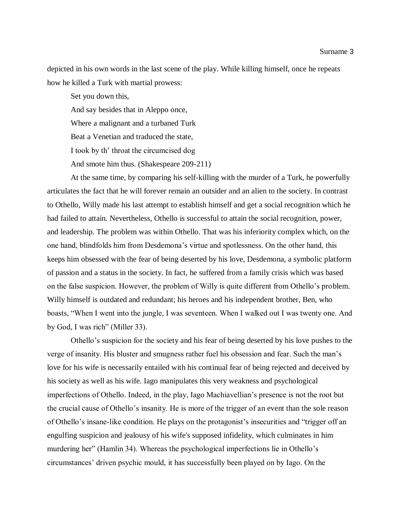depicted in his own words in the last scene of the play. While killing himself, once he repeats how he killed a Turk with martial prowess:

Set you down this,

And say besides that in Aleppo once,

Where a malignant and a turbaned Turk

Beat a Venetian and traduced the state,

I took by th' throat the circumcised dog

And smote him thus. (Shakespeare 209-211)

At the same time, by comparing his self-killing with the murder of a Turk, he powerfully articulates the fact that he will forever remain an outsider and an alien to the society. In contrast to Othello, Willy made his last attempt to establish himself and get a social recognition which he had failed to attain. Nevertheless, Othello is successful to attain the social recognition, power, and leadership. The problem was within Othello. That was his inferiority complex which, on the one hand, blindfolds him from Desdemona's virtue and spotlessness. On the other hand, this keeps him obsessed with the fear of being deserted by his love, Desdemona, a symbolic platform of passion and a status in the society. In fact, he suffered from a family crisis which was based on the false suspicion. However, the problem of Willy is quite different from Othello's problem. Willy himself is outdated and redundant; his heroes and his independent brother, Ben, who boasts, "When I went into the jungle, I was seventeen. When I walked out I was twenty one. And by God, I was rich" (Miller 33).

Othello's suspicion for the society and his fear of being deserted by his love pushes to the verge of insanity. His bluster and smugness rather fuel his obsession and fear. Such the man's love for his wife is necessarily entailed with his continual fear of being rejected and deceived by his society as well as his wife. Iago manipulates this very weakness and psychological imperfections of Othello. Indeed, in the play, Iago Machiavellian's presence is not the root but the crucial cause of Othello's insanity. He is more of the trigger of an event than the sole reason of Othello's insane-like condition. He plays on the protagonist's insecurities and "trigger off an engulfing suspicion and jealousy of his wife's supposed infidelity, which culminates in him murdering her" (Hamlin 34). Whereas the psychological imperfections lie in Othello's circumstances' driven psychic mould, it has successfully been played on by Iago. On the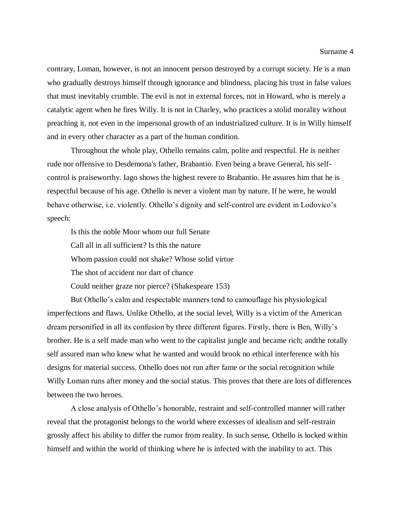contrary, Loman, however, is not an innocent person destroyed by a corrupt society. He is a man who gradually destroys himself through ignorance and blindness, placing his trust in false values that must inevitably crumble. The evil is not in external forces, not in Howard, who is merely a catalytic agent when he fires Willy. It is not in Charley, who practices a stolid morality without preaching it, not even in the impersonal growth of an industrialized culture. It is in Willy himself and in every other character as a part of the human condition.

Throughout the whole play, Othello remains calm, polite and respectful. He is neither rude nor offensive to Desdemona's father, Brabantio. Even being a brave General, his selfcontrol is praiseworthy. Iago shows the highest revere to Brabantio. He assures him that he is respectful because of his age. Othello is never a violent man by nature. If he were, he would behave otherwise, i.e. violently. Othello's dignity and self-control are evident in Lodovico's speech:

Is this the noble Moor whom our full Senate

Call all in all sufficient? Is this the nature

Whom passion could not shake? Whose solid virtue

The shot of accident nor dart of chance

Could neither graze nor pierce? (Shakespeare 153)

But Othello's calm and respectable manners tend to camouflage his physiological imperfections and flaws. Unlike Othello, at the social level, Willy is a victim of the American dream personified in all its confusion by three different figures. Firstly, there is Ben, Willy's brother. He is a self made man who went to the capitalist jungle and became rich; andthe totally self assured man who knew what he wanted and would brook no ethical interference with his designs for material success. Othello does not run after fame or the social recognition while Willy Loman runs after money and the social status. This proves that there are lots of differences between the two heroes.

A close analysis of Othello's honorable, restraint and self-controlled manner will rather reveal that the protagonist belongs to the world where excesses of idealism and self-restrain grossly affect his ability to differ the rumor from reality. In such sense, Othello is locked within himself and within the world of thinking where he is infected with the inability to act. This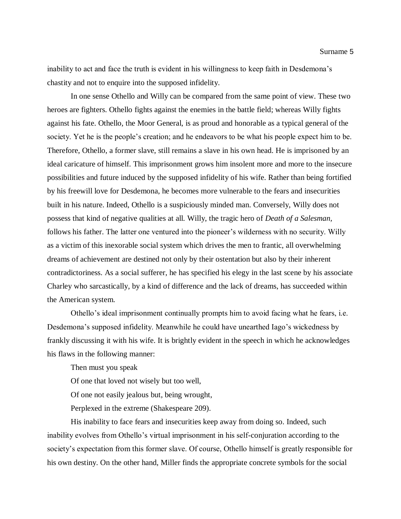inability to act and face the truth is evident in his willingness to keep faith in Desdemona's chastity and not to enquire into the supposed infidelity.

In one sense Othello and Willy can be compared from the same point of view. These two heroes are fighters. Othello fights against the enemies in the battle field; whereas Willy fights against his fate. Othello, the Moor General, is as proud and honorable as a typical general of the society. Yet he is the people's creation; and he endeavors to be what his people expect him to be. Therefore, Othello, a former slave, still remains a slave in his own head. He is imprisoned by an ideal caricature of himself. This imprisonment grows him insolent more and more to the insecure possibilities and future induced by the supposed infidelity of his wife. Rather than being fortified by his freewill love for Desdemona, he becomes more vulnerable to the fears and insecurities built in his nature. Indeed, Othello is a suspiciously minded man. Conversely, Willy does not possess that kind of negative qualities at all. Willy, the tragic hero of *Death of a Salesman,* follows his father. The latter one ventured into the pioneer's wilderness with no security. Willy as a victim of this inexorable social system which drives the men to frantic, all overwhelming dreams of achievement are destined not only by their ostentation but also by their inherent contradictoriness. As a social sufferer, he has specified his elegy in the last scene by his associate Charley who sarcastically, by a kind of difference and the lack of dreams, has succeeded within the American system.

Othello's ideal imprisonment continually prompts him to avoid facing what he fears, i.e. Desdemona's supposed infidelity. Meanwhile he could have unearthed Iago's wickedness by frankly discussing it with his wife. It is brightly evident in the speech in which he acknowledges his flaws in the following manner:

Then must you speak

Of one that loved not wisely but too well,

Of one not easily jealous but, being wrought,

Perplexed in the extreme (Shakespeare 209).

His inability to face fears and insecurities keep away from doing so. Indeed, such inability evolves from Othello's virtual imprisonment in his self-conjuration according to the society's expectation from this former slave. Of course, Othello himself is greatly responsible for his own destiny. On the other hand, Miller finds the appropriate concrete symbols for the social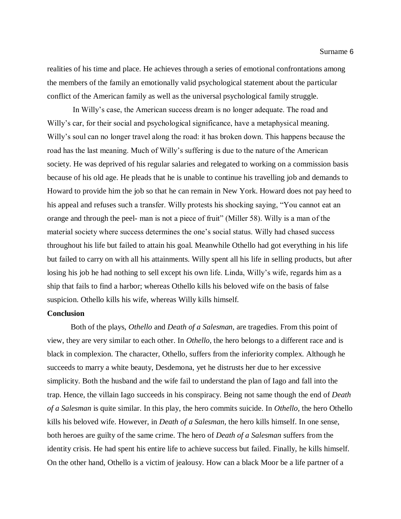realities of his time and place. He achieves through a series of emotional confrontations among the members of the family an emotionally valid psychological statement about the particular conflict of the American family as well as the universal psychological family struggle.

In Willy's case, the American success dream is no longer adequate. The road and Willy's car, for their social and psychological significance, have a metaphysical meaning. Willy's soul can no longer travel along the road: it has broken down. This happens because the road has the last meaning. Much of Willy's suffering is due to the nature of the American society. He was deprived of his regular salaries and relegated to working on a commission basis because of his old age. He pleads that he is unable to continue his travelling job and demands to Howard to provide him the job so that he can remain in New York. Howard does not pay heed to his appeal and refuses such a transfer. Willy protests his shocking saying, "You cannot eat an orange and through the peel- man is not a piece of fruit" (Miller 58). Willy is a man of the material society where success determines the one's social status. Willy had chased success throughout his life but failed to attain his goal. Meanwhile Othello had got everything in his life but failed to carry on with all his attainments. Willy spent all his life in selling products, but after losing his job he had nothing to sell except his own life. Linda, Willy's wife, regards him as a ship that fails to find a harbor; whereas Othello kills his beloved wife on the basis of false suspicion. Othello kills his wife, whereas Willy kills himself.

## **Conclusion**

Both of the plays, *Othello* and *Death of a Salesman*, are tragedies. From this point of view, they are very similar to each other. In *Othello,* the hero belongs to a different race and is black in complexion. The character, Othello, suffers from the inferiority complex. Although he succeeds to marry a white beauty, Desdemona, yet he distrusts her due to her excessive simplicity. Both the husband and the wife fail to understand the plan of Iago and fall into the trap. Hence, the villain Iago succeeds in his conspiracy. Being not same though the end of *Death of a Salesman* is quite similar. In this play, the hero commits suicide. In *Othello,* the hero Othello kills his beloved wife. However, in *Death of a Salesman,* the hero kills himself. In one sense, both heroes are guilty of the same crime. The hero of *Death of a Salesman* suffers from the identity crisis. He had spent his entire life to achieve success but failed. Finally, he kills himself. On the other hand, Othello is a victim of jealousy. How can a black Moor be a life partner of a